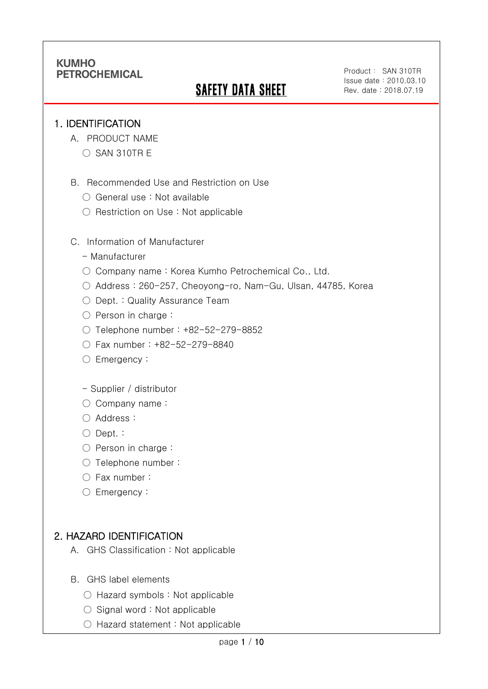# **SAFETY DATA SHEET**

Product: SAN 310TR Issue date:2010.03.10 Rev. date : 2018.07.19

#### 1. IDENTIFICATION

Ī

- A. PRODUCT NAME
	- $\bigcirc$  SAN 310TR E
- B. Recommended Use and Restriction on Use
	- General use : Not available
	- Restriction on Use : Not applicable
- C. Information of Manufacturer
	- Manufacturer
	- Company name: Korea Kumho Petrochemical Co., Ltd.
	- Address : 260-257, Cheoyong-ro, Nam-Gu, Ulsan, 44785, Korea
	- Dept. : Quality Assurance Team
	- Person in charge :
	- Telephone number : +82-52-279-8852
	- Fax number : +82-52-279-8840
	- Emergency:
	- Supplier / distributor
	- Company name:
	- Address :
	- Dept. :
	- Person in charge :
	- Telephone number :
	- Fax number :
	- Emergency:

# 2. HAZARD IDENTIFICATION

- A. GHS Classification : Not applicable
- B. GHS label elements
	- Hazard symbols : Not applicable
	- $\bigcirc$  Signal word : Not applicable
	- Hazard statement : Not applicable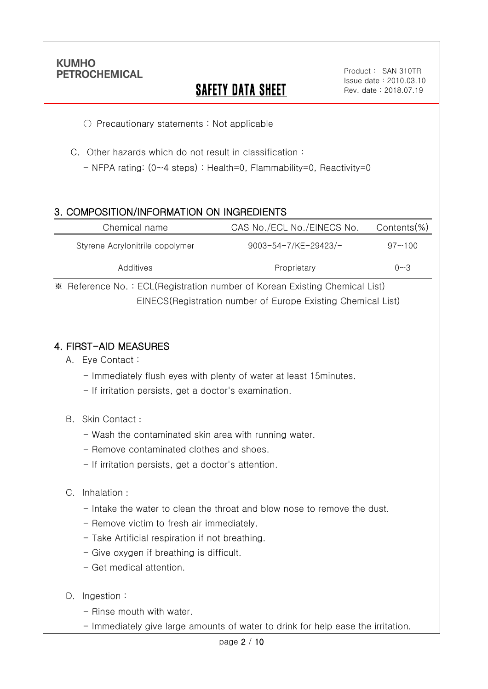Ī

# **SAFETY DATA SHEET**

○ Precautionary statements : Not applicable

C. Other hazards which do not result in classification :

- NFPA rating: (0~4 steps) : Health=0, Flammability=0, Reactivity=0

## 3. COMPOSITION/INFORMATION ON INGREDIENTS

| Chemical name                   | CAS No./ECL No./EINECS No.  | Contents(%) |
|---------------------------------|-----------------------------|-------------|
| Styrene Acrylonitrile copolymer | $9003 - 54 - 7$ /KE-29423/- | $97 - 100$  |
| Additives                       | Proprietary                 | $0 - 3$     |

※ Reference No. : ECL(Registration number of Korean Existing Chemical List) EINECS(Registration number of Europe Existing Chemical List)

#### 4. FIRST-AID MEASURES

- A. Eye Contact :
	- Immediately flush eyes with plenty of water at least 15minutes.
	- If irritation persists, get a doctor's examination.
- B. Skin Contact :
	- Wash the contaminated skin area with running water.
	- Remove contaminated clothes and shoes.
	- If irritation persists, get a doctor's attention.

#### C. Inhalation :

- Intake the water to clean the throat and blow nose to remove the dust.
- Remove victim to fresh air immediately.
- Take Artificial respiration if not breathing.
- Give oxygen if breathing is difficult.
- Get medical attention.
- D. Ingestion :
	- Rinse mouth with water.
	- Immediately give large amounts of water to drink for help ease the irritation.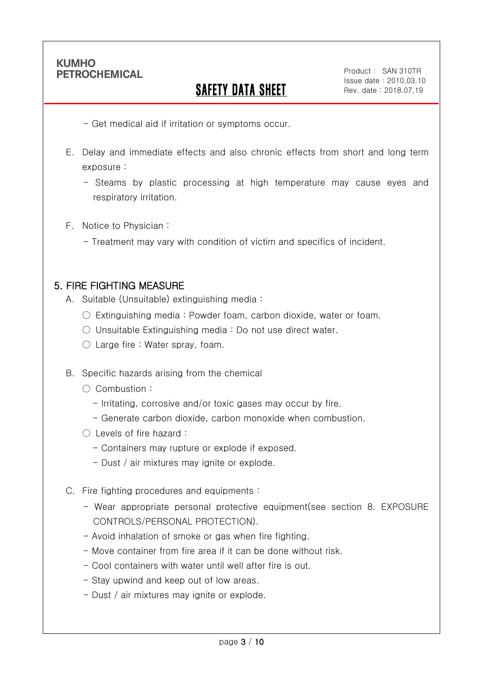Ī

# SAFETY DATA SHEET

- Get medical aid if irritation or symptoms occur.

- E. Delay and immediate effects and also chronic effects from short and long term exposure :
	- Steams by plastic processing at high temperature may cause eyes and respiratory irritation.
- F. Notice to Physician :
	- Treatment may vary with condition of victim and specifics of incident.

#### 5. FIRE FIGHTING MEASURE

- A. Suitable (Unsuitable) extinguishing media :
	- $\circ$  Extinguishing media : Powder foam, carbon dioxide, water or foam.
	- Unsuitable Extinguishing media : Do not use direct water.
	- Large fire : Water spray, foam.
- B. Specific hazards arising from the chemical
	- Combustion :
		- Irritating, corrosive and/or toxic gases may occur by fire.
		- Generate carbon dioxide, carbon monoxide when combustion.
	- Levels of fire hazard :
		- Containers may rupture or explode if exposed.
		- Dust / air mixtures may ignite or explode.
- C. Fire fighting procedures and equipments :
	- Wear appropriate personal protective equipment(see section 8. EXPOSURE CONTROLS/PERSONAL PROTECTION).
	- Avoid inhalation of smoke or gas when fire fighting.
	- Move container from fire area if it can be done without risk.
	- Cool containers with water until well after fire is out.
	- Stay upwind and keep out of low areas.
	- Dust / air mixtures may ignite or explode.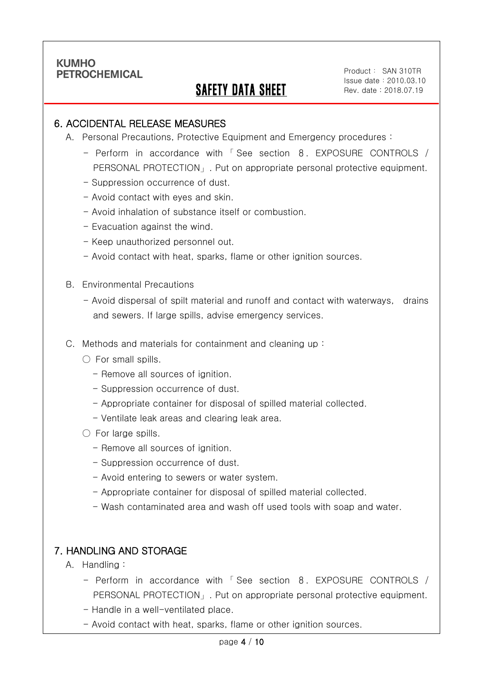Ī

# SAFETY DATA SHEET

Product: SAN 310TR Issue date:2010.03.10 Rev. date : 2018.07.19

#### 6. ACCIDENTAL RELEASE MEASURES

- A. Personal Precautions, Protective Equipment and Emergency procedures :
	- Perform in accordance with 「 See section 8. EXPOSURE CONTROLS / PERSONAL PROTECTION」. Put on appropriate personal protective equipment.
	- Suppression occurrence of dust.
	- Avoid contact with eyes and skin.
	- Avoid inhalation of substance itself or combustion.
	- Evacuation against the wind.
	- Keep unauthorized personnel out.
	- Avoid contact with heat, sparks, flame or other ignition sources.
- B. Environmental Precautions
	- Avoid dispersal of spilt material and runoff and contact with waterways, drains and sewers. If large spills, advise emergency services.
- C. Methods and materials for containment and cleaning up :
	- $\bigcirc$  For small spills.
		- Remove all sources of ignition.
		- Suppression occurrence of dust.
		- Appropriate container for disposal of spilled material collected.
		- Ventilate leak areas and clearing leak area.
	- For large spills.
		- Remove all sources of ignition.
		- Suppression occurrence of dust.
		- Avoid entering to sewers or water system.
		- Appropriate container for disposal of spilled material collected.
		- Wash contaminated area and wash off used tools with soap and water.

### 7. HANDLING AND STORAGE

- A. Handling :
	- Perform in accordance with 「 See section 8. EXPOSURE CONTROLS / PERSONAL PROTECTION」. Put on appropriate personal protective equipment.
	- Handle in a well-ventilated place.
	- Avoid contact with heat, sparks, flame or other ignition sources.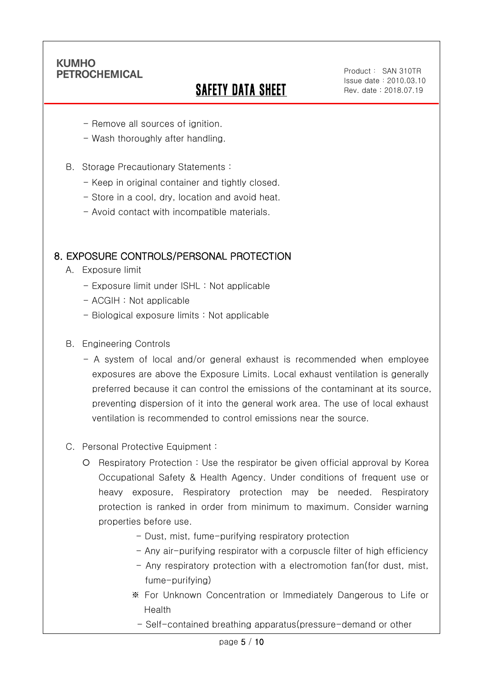Ī

# SAFETY DATA SHEET

- Remove all sources of ignition.
- Wash thoroughly after handling.
- B. Storage Precautionary Statements :
	- Keep in original container and tightly closed.
	- Store in a cool, dry, location and avoid heat.
	- Avoid contact with incompatible materials.

### 8. EXPOSURE CONTROLS/PERSONAL PROTECTION

- A. Exposure limit
	- Exposure limit under ISHL : Not applicable
	- ACGIH : Not applicable
	- Biological exposure limits : Not applicable
- B. Engineering Controls
	- A system of local and/or general exhaust is recommended when employee exposures are above the Exposure Limits. Local exhaust ventilation is generally preferred because it can control the emissions of the contaminant at its source, preventing dispersion of it into the general work area. The use of local exhaust ventilation is recommended to control emissions near the source.
- C. Personal Protective Equipment :
	- Respiratory Protection : Use the respirator be given official approval by Korea Occupational Safety & Health Agency. Under conditions of frequent use or heavy exposure, Respiratory protection may be needed. Respiratory protection is ranked in order from minimum to maximum. Consider warning properties before use.
		- Dust, mist, fume-purifying respiratory protection
		- Any air-purifying respirator with a corpuscle filter of high efficiency
		- Any respiratory protection with a electromotion fan(for dust, mist, fume-purifying)
		- ※ For Unknown Concentration or Immediately Dangerous to Life or Health
			- Self-contained breathing apparatus(pressure-demand or other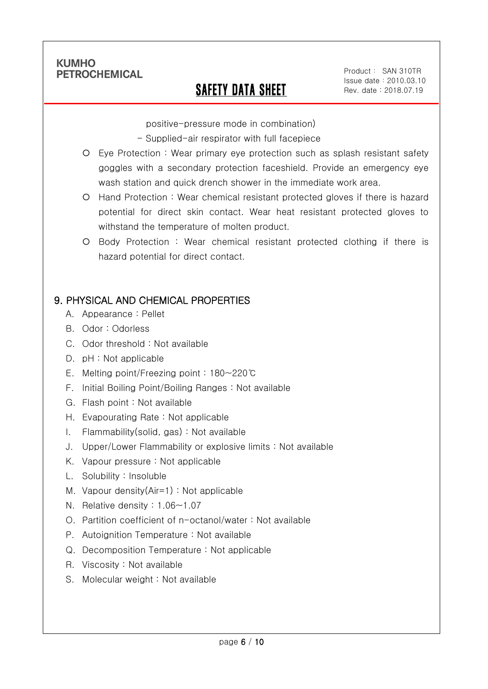Ī

# SAFETY DATA SHEET

Product: SAN 310TR Issue date:2010.03.10 Rev. date : 2018.07.19

positive-pressure mode in combination)

- Supplied-air respirator with full facepiece
- Eye Protection : Wear primary eye protection such as splash resistant safety goggles with a secondary protection faceshield. Provide an emergency eye wash station and quick drench shower in the immediate work area.
- Hand Protection : Wear chemical resistant protected gloves if there is hazard potential for direct skin contact. Wear heat resistant protected gloves to withstand the temperature of molten product.
- Body Protection : Wear chemical resistant protected clothing if there is hazard potential for direct contact.

# 9. PHYSICAL AND CHEMICAL PROPERTIES

- A. Appearance : Pellet
- B. Odor : Odorless
- C. Odor threshold : Not available
- D. pH : Not applicable
- E. Melting point/Freezing point : 180~220℃
- F. Initial Boiling Point/Boiling Ranges : Not available
- G. Flash point : Not available
- H. Evapourating Rate : Not applicable
- I. Flammability(solid, gas) : Not available
- J. Upper/Lower Flammability or explosive limits : Not available
- K. Vapour pressure : Not applicable
- L. Solubility : Insoluble
- M. Vapour density(Air=1) : Not applicable
- N. Relative density : 1.06~1.07
- O. Partition coefficient of n-octanol/water : Not available
- P. Autoignition Temperature : Not available
- Q. Decomposition Temperature : Not applicable
- R. Viscosity : Not available
- S. Molecular weight : Not available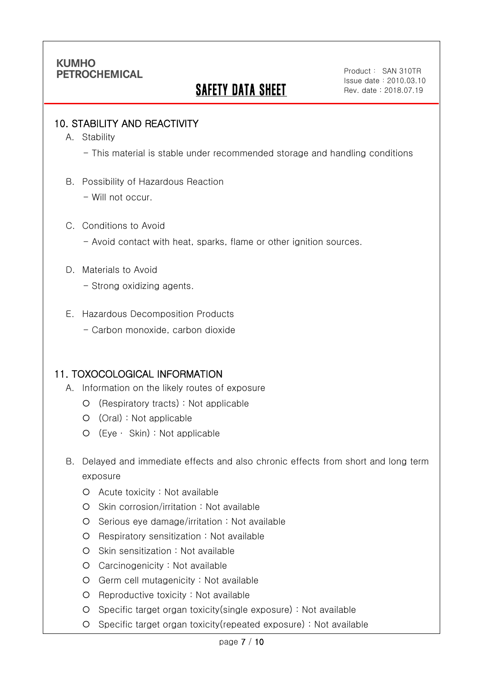# **SAFETY DATA SHEET**

#### 10. STABILITY AND REACTIVITY

A. Stability

Ī

- This material is stable under recommended storage and handling conditions

- B. Possibility of Hazardous Reaction
	- Will not occur.
- C. Conditions to Avoid
	- Avoid contact with heat, sparks, flame or other ignition sources.
- D. Materials to Avoid
	- Strong oxidizing agents.
- E. Hazardous Decomposition Products
	- Carbon monoxide, carbon dioxide

### 11. TOXOCOLOGICAL INFORMATION

- A. Information on the likely routes of exposure
	- (Respiratory tracts) : Not applicable
	- (Oral) : Not applicable
	- (Eye ∙ Skin) : Not applicable
- B. Delayed and immediate effects and also chronic effects from short and long term exposure
	- Acute toxicity : Not available
	- O Skin corrosion/irritation : Not available
	- O Serious eye damage/irritation : Not available
	- O Respiratory sensitization : Not available
	- O Skin sensitization : Not available
	- Carcinogenicity : Not available
	- Germ cell mutagenicity : Not available
	- O Reproductive toxicity : Not available
	- Specific target organ toxicity(single exposure) : Not available
	- Specific target organ toxicity(repeated exposure) : Not available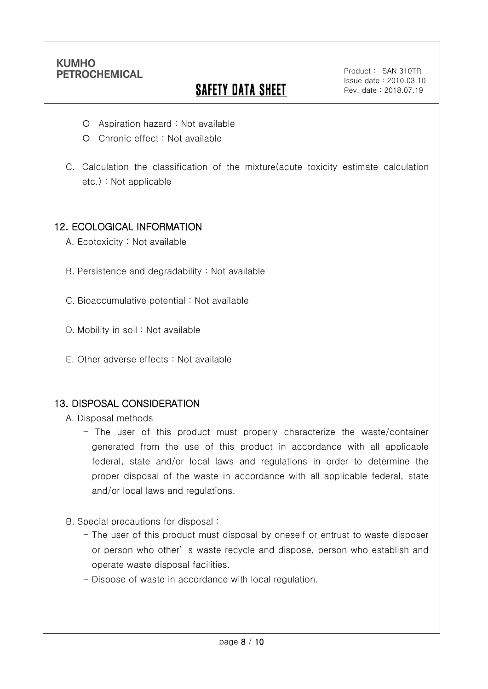Ī

# **SAFETY DATA SHEET**

- Aspiration hazard : Not available
- O Chronic effect : Not available
- C. Calculation the classification of the mixture(acute toxicity estimate calculation etc.) : Not applicable

### 12. ECOLOGICAL INFORMATION

- A. Ecotoxicity : Not available
- B. Persistence and degradability : Not available
- C. Bioaccumulative potential : Not available
- D. Mobility in soil: Not available
- E. Other adverse effects : Not available

### 13. DISPOSAL CONSIDERATION

- A. Disposal methods
	- The user of this product must properly characterize the waste/container generated from the use of this product in accordance with all applicable federal, state and/or local laws and regulations in order to determine the proper disposal of the waste in accordance with all applicable federal, state and/or local laws and regulations.
- B. Special precautions for disposal :
	- The user of this product must disposal by oneself or entrust to waste disposer or person who other' s waste recycle and dispose, person who establish and operate waste disposal facilities.
	- Dispose of waste in accordance with local regulation.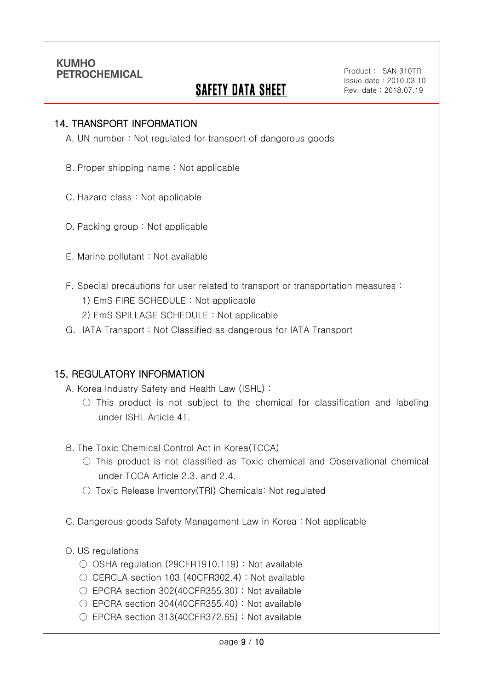Ī

# SAFETY DATA SHEET

#### 14. TRANSPORT INFORMATION

A. UN number : Not regulated for transport of dangerous goods

B. Proper shipping name : Not applicable

C. Hazard class : Not applicable

D. Packing group : Not applicable

- E. Marine pollutant : Not available
- F. Special precautions for user related to transport or transportation measures :
	- 1) EmS FIRE SCHEDULE : Not applicable
	- 2) EmS SPILLAGE SCHEDULE : Not applicable
- G. IATA Transport : Not Classified as dangerous for IATA Transport

#### 15. REGULATORY INFORMATION

A. Korea Industry Safety and Health Law (ISHL) :

 $\circ$  This product is not subject to the chemical for classification and labeling under ISHL Article 41.

B. The Toxic Chemical Control Act in Korea(TCCA)

- $\bigcirc$  This product is not classified as Toxic chemical and Observational chemical under TCCA Article 2.3. and 2.4.
- Toxic Release Inventory(TRI) Chemicals: Not regulated
- C. Dangerous goods Safety Management Law in Korea : Not applicable

#### D. US regulations

- OSHA regulation (29CFR1910.119) : Not available
- CERCLA section 103 (40CFR302.4) : Not available
- EPCRA section 302(40CFR355.30) : Not available
- $\bigcirc$  EPCRA section 304(40CFR355.40) : Not available
- EPCRA section 313(40CFR372.65): Not available